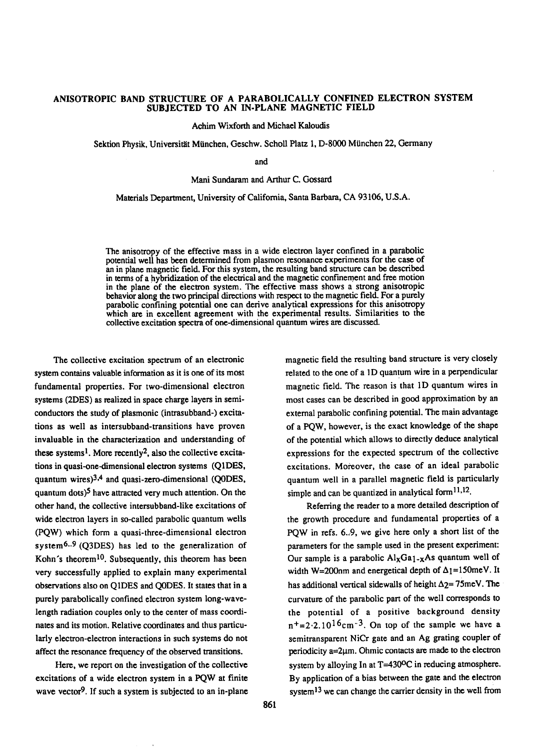## ANISOTROPlC BAND STRUCTURE OF A PARABOLICALLY CONFINED ELECTRON SYSTEM SUBJECTED TO AN IN-PLANE MAGNETIC FIELD

Achim Wixforth and Michael Kaloudis

Sektion Physik, Universität München, Geschw. Scholl Platz 1, D-8000 München 22, Germany

and

Mani Sundaram and Arthur C. Gossard

Materials Department, University of California, Santa Barbara, CA 93106, U.S.A.

The anisotropy of the effective mass in a wide electron layer confined in a parabolic potential well has been determined from plasmon resonance experiments for the case of an in plane magnetic field. For this system, the resulting band structure can be described in terms of a hybridization of the electrical and the magnetic confinement and free motion in the plane of the electron system. The effective mass shows a strong anisotropic behavior along the two principal directions with respect to the magnetic field. For a purely parabolic confining potential one can derive analytical expressions for this anisotropy which are in excellent agreement with the experimental results. Similarities to the collective excitation spectra of one-dimensional quantum wires are discussed.

The collective excitation spectrum of an electronic system contains valuable information as it is one of its most fundamental properties. For two-dimensional electron systems (2DES) as realized in space charge layers in semiconductors the study of plasmonic (intrasubband-) excitations as well as intersubband-transitions have proven invaluable in the characterization and understanding of these systems<sup>1</sup>. More recently<sup>2</sup>, also the collective excitations in quasi-one-dimensional electron systems (Q1DES, quantum wires)3,4 and quasi-zero-dimensional (QODES, quantum dots)<sup>5</sup> have attracted very much attention. On the other hand, the collective intersubband-like excitations of wide electron layers in so-called parabolic quantum wells (PQW) which form a quasi-three-dimensional electron system<sup>6..9</sup> (Q3DES) has led to the generalization of Kohn's theorem<sup>10</sup>. Subsequently, this theorem has been very successfully applied to explain many experimental observations also on QIDES and QODES. It states that in a purely parabolically confined electron system long-wavelength radiation couples only to the center of mass coordinates and its motion. Relative coordinates and thus particularly electron-electron interactions in such systems do not affect the resonance frequency of the observed transitions.

Here, we report on the investigation of the collective excitations of a wide electron system in a PQW at finite wave vector<sup>9</sup>. If such a system is subjected to an in-plane magnetic field the resulting band structure is very closely related to the one of a 1D quantum wire in a perpendicular magnetic field. The reason is that ID quantum wires in most cases can be described in good approximation by an external parabolic confining potential. The main advantage of a PQW, however, is the exact knowledge of the shape of the potential which allows to directly deduce analytical expressions for the expected spectrum of the collective excitations. Moreover, the case of an ideal parabolic quantum well in a parallel magnetic field is particularly simple and can be quantized in analytical form $11,12$ .

Referring the reader to a more detailed description of the growth procedure and fundamental properties of a PQW in refs. 6.,9, we give here only a short list of the parameters for the sample used in the present experiment: Our sample is a parabolic  $\text{Al}_{\text{X}}\text{Ga}_{1-\text{X}}\text{As}$  quantum well of width W=200nm and energetical depth of  $\Delta$ 1=150meV. It has additional vertical sidewalls of height  $\Delta$ <sub>2</sub> = 75meV. The curvature of the parabolic part of the well corresponds to the potential of a positive background density  $n^+=2.2.10^{16}$ cm<sup>-3</sup>. On top of the sample we have a semitransparent NiCr gate and an Ag grating coupler of periodicity  $a=2\mu m$ . Ohmic contacts are made to the electron system by alloying In at T=430°C in reducing atmosphere. By application of a bias between the gate and the electron system<sup>13</sup> we can change the carrier density in the well from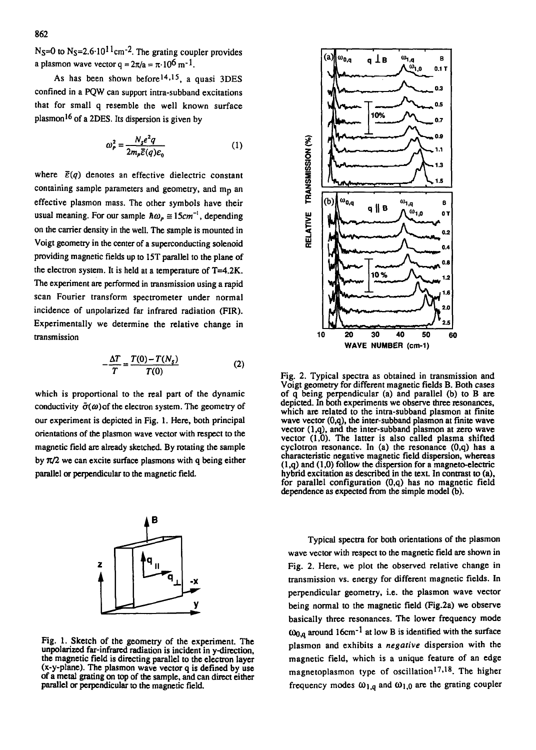$N<sub>S</sub>=0$  to  $N<sub>S</sub>=2.6 \cdot 10^{11}$  cm<sup>-2</sup>. The grating coupler provides a plasmon wave vector  $q = 2\pi/a = \pi \cdot 10^6$  m<sup>-1</sup>.

As has been shown before  $14,15$ , a quasi 3DES confined in a PQW can support intra-subband excitations that for small q resemble the well known surface plasmon<sup>16</sup> of a 2DES. Its dispersion is given by

$$
\omega_P^2 = \frac{N_s e^2 q}{2m_p \bar{\varepsilon}(q) \varepsilon_0} \tag{1}
$$

where  $\bar{\varepsilon}(q)$  denotes an effective dielectric constant containing sample parameters and geometry, and  $m_p$  an effective plasmon mass. The other symbols have their usual meaning. For our sample  $\hbar \omega_p \approx 15 \text{cm}^{-1}$ , depending on the carrier density in the well. The sample is mounted in Voigt geometry in the center of a superconducting solenoid providing magnetic fields up to 15T parallel to the plane of the electron system. It is held at a temperature of T=4.2K. The experiment are performed in transmission using a rapid scan Fourier transform spectrometer under normal incidence of unpolarized far infrared radiation (FIR). Experimentally we determine the relative change in transmission

$$
-\frac{\Delta T}{T} = \frac{T(0) - T(N_s)}{T(0)}\tag{2}
$$

which is proportional to the real part of the dynamic conductivity  $\tilde{\sigma}(\omega)$  of the electron system. The geometry of our experiment is depicted in Fig. 1. Here, both principal orientations of the plasmon wave vector with respect to the magnetic field are already sketched. By rotating the sample by  $\pi/2$  we can excite surface plasmons with q being either parallel or perpendicular to the magnetic field.

Fig, 1. Sketch of the geometry of the experiment. The unpolarized far-infrared radiation is incident in y-direction, the magnetic field is directing parallel to the electron layer (x-y-plane). The plasmon wave vector q is defined by use of a metal grating on top of the sample, and can direct either parallel or perpendicular to the magnetic field.

Typical spectra for both orientations of the plasmon wave vector with respect to the magnetic field are shown in Fig. 2. Here, we plot the observed relative change in transmission vs. energy for different magnetic fields. In perpendicular geometry, i.e. the plasmon wave vector being normal to the magnetic field (Fig.2a) we observe basically three resonances. The lower frequency mode  $\omega_{0,q}$  around 16cm<sup>-1</sup> at low B is identified with the surface plasmon and exhibits a *negative* dispersion with the magnetic field, which is a unique feature of an edge magnetoplasmon type of oscillation<sup>17,18</sup>. The higher frequency modes  $\omega_{1,q}$  and  $\omega_{1,0}$  are the grating coupler

Fig. 2. Typical spectra as obtained in transmission and Voigt geometry for different magnetic fields B. Both cases of q being perpendicular (a) and parallel (b) to B are depicted. In both experiments we observe three resonances, which are related to the intra-subband plasmon at finite wave vector (0,q), the inter-subband plasmon at finite wave vector (1,q), and the inter-subband plasmon at zero wave vector (1,0). The latter is also called plasma shifted cyclotron resonance. In (a) the resonance (0,q) has a characteristic negative magnetic field dispersion, whereas (1,q) and (1,0) follow the dispersion for a magneto-electric hybrid excitation as described in the text. In contrast to (a), for parallel configuration (0,q) has no magnetic field dependence as expected from the simple model (b).



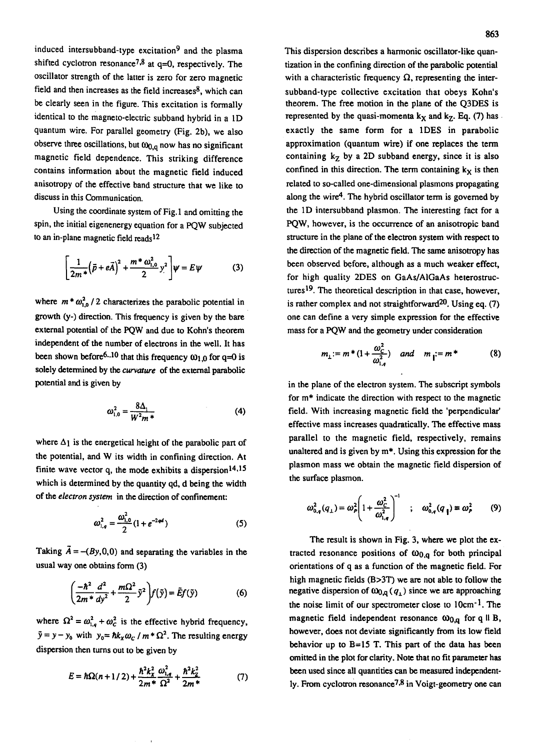induced intersubband-type excitation9 and the plasma shifted cyclotron resonance<sup>7,8</sup> at  $q=0$ , respectively. The oscillator strength of the latter is zero for zero magnetic field and then increases as the field increases<sup>8</sup>, which can be clearly seen in the figure. This excitation is formally identical to the magneto-electric subband hybrid in a 1D quantum wire. For parallel geometry (Fig. 2b), we also observe three oscillations, but  $\omega_{0,q}$  now has no significant magnetic field dependence. This striking difference contains information about the magnetic field induced anisotropy of the effective band structure that we like to discuss in this Communication.

Using the coordinate system of Fig.1 and omitting the spin, the initial eigenenergy equation for a PQW subjected to an in-plane magnetic field reads<sup>12</sup>

$$
\left[\frac{1}{2m^*}\left(\vec{p} + e\vec{A}\right)^2 + \frac{m^* \omega_{1,0}^2}{2} y^2\right] \psi = E \psi \tag{3}
$$

where  $m * \omega_{1,0}^2 / 2$  characterizes the parabolic potential in growth (y-) direction. This frequency is given by the bare external potential of the PQW and due to Kohn's theorem independent of the number of electrons in the well. It has been shown before<sup>6..10</sup> that this frequency  $\omega_{1,0}$  for q=0 is solely determined by the *curvature* of the external parabolic potential and is given by

$$
\omega_{1,0}^2 = \frac{8\Delta_1}{W^2 m^*}
$$
 (4)

where  $\Delta$ 1 is the energetical height of the parabolic part of the potential, and W its width in confining direction. At finite wave vector q, the mode exhibits a dispersion  $14,15$ which is determined by the quantity qd, d being the width of the *electron system* in the direction of confinement:

$$
\omega_{1,q}^2 = \frac{\omega_{1,0}^2}{2} (1 + e^{-2qd})
$$
 (5)

Taking  $\bar{A} = -(By,0,0)$  and separating the variables in the usual way one obtains form (3)

$$
\left(\frac{-\hbar^2}{2m^*}\frac{d^2}{dy^2} + \frac{m\Omega^2}{2}\tilde{y}^2\right) f(\tilde{y}) = \tilde{E}f(\tilde{y})\tag{6}
$$

where  $\Omega^2 = \omega_{1,q}^2 + \omega_c^2$  is the effective hybrid frequency,  $\bar{y} = y - y_0$  with  $y_0 = \hbar k_x \omega_c / m^* \Omega^2$ . The resulting energy dispersion then turns out to be given by

$$
E = \hbar\Omega(n+1/2) + \frac{\hbar^2 k_x^2}{2m^*} \frac{\omega_{1,q}^2}{\Omega^2} + \frac{\hbar^2 k_z^2}{2m^*}
$$
 (7)

This dispersion describes a harmonic oscillator-like quantization in the confining direction of the parabolic potential with a characteristic frequency  $\Omega$ , representing the intersubband-type collective excitation that obeys Kohn's theorem. The free motion in the plane of the Q3DES is represented by the quasi-momenta  $k<sub>X</sub>$  and  $k<sub>Z</sub>$ . Eq. (7) has exactly the same form for a 1DES in parabolic approximation (quantum wire) if one replaces the term containing  $k<sub>Z</sub>$  by a 2D subband energy, since it is also confined in this direction. The term containing  $k<sub>X</sub>$  is then related to so-called one-dimensional plasmons propagating along the wire4. The hybrid oscillator term is governed by the 1D intersubband plasmon. The interesting fact for a PQW, however, is the occurrence of an anisotropic band structure in the plane of the electron system with respect to the direction of the magnetic field. The same anisotropy has been observed before, although as a much weaker effect, for high quality 2DES on GaAs/AIGaAs heterostructures 19. The theoretical description in that case, however, is rather complex and not straightforward $20$ . Using eq. (7) one can define a very simple expression for the effective mass for a PQW and the geometry under consideration

$$
m_{\perp} := m^* (1 + \frac{\omega_c^2}{\omega_{1,q}^2})
$$
 and  $m_{\parallel} := m^*$  (8)

in the plane of the electron system. The subscript symbols for m\* indicate the direction with respect to the magnetic field. With increasing magnetic field the 'perpendicular' effective mass increases quadratically. The effective mass parallel to the magnetic field, respectively, remains unaltered and is given by m\*. Using this expression for the plasmon mass we obtain the magnetic field dispersion of the surface plasmon.

$$
\omega_{0,q}^2(q_\perp) = \omega_p^2 \left( 1 + \frac{\omega_c^2}{\omega_{1,q}^2} \right)^{-1} \quad ; \quad \omega_{0,q}^2(q_\parallel) \equiv \omega_p^2 \tag{9}
$$

The result is shown in Fig. 3, where we plot the extracted resonance positions of  $\omega_{0,q}$  for both principal orientations of q as a function of the magnetic field. For high magnetic fields (B>3T) we are not able to follow the negative dispersion of  $\omega_{0,q}(q_+)$  since we are approaching the noise limit of our spectrometer close to  $10 \text{cm}^{-1}$ . The magnetic field independent resonance  $\omega_{0,q}$  for q II B, however, does not deviate significandy from its low field behavior up to  $B=15$  T. This part of the data has been omitted in the plot for clarity. Note that no fit parameter has been used since all quantities can be measured independently. From cyclotron resonance $7.8$  in Voigt-geometry one can